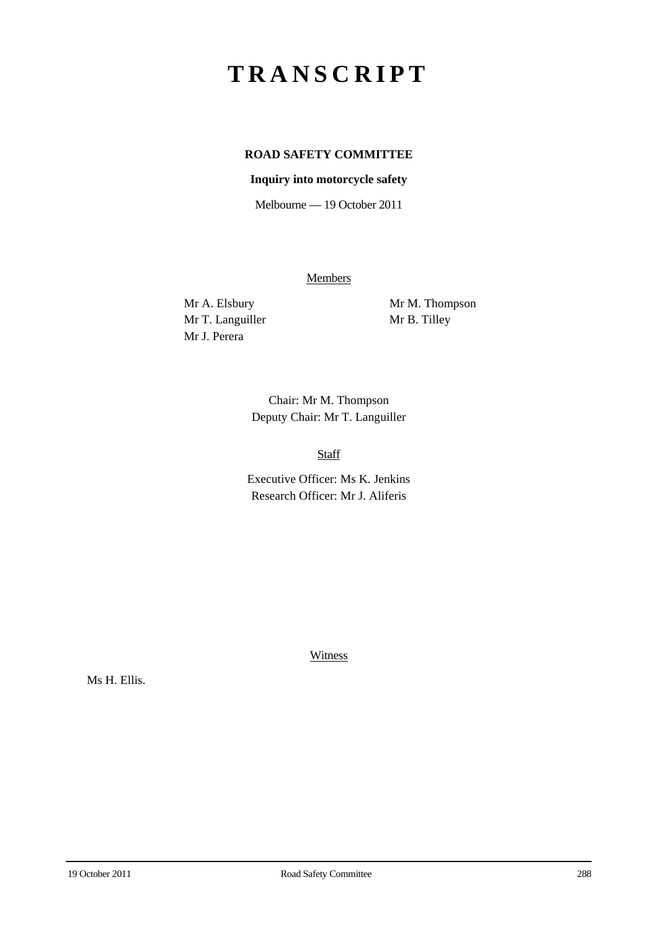# **TRANSCRIPT**

# **ROAD SAFETY COMMITTEE**

## **Inquiry into motorcycle safety**

Melbourne — 19 October 2011

**Members** 

Mr T. Languiller Mr B. Tilley Mr J. Perera

Mr A. Elsbury Mr M. Thompson

Chair: Mr M. Thompson Deputy Chair: Mr T. Languiller

Staff

Executive Officer: Ms K. Jenkins Research Officer: Mr J. Aliferis

**Witness** 

Ms H. Ellis.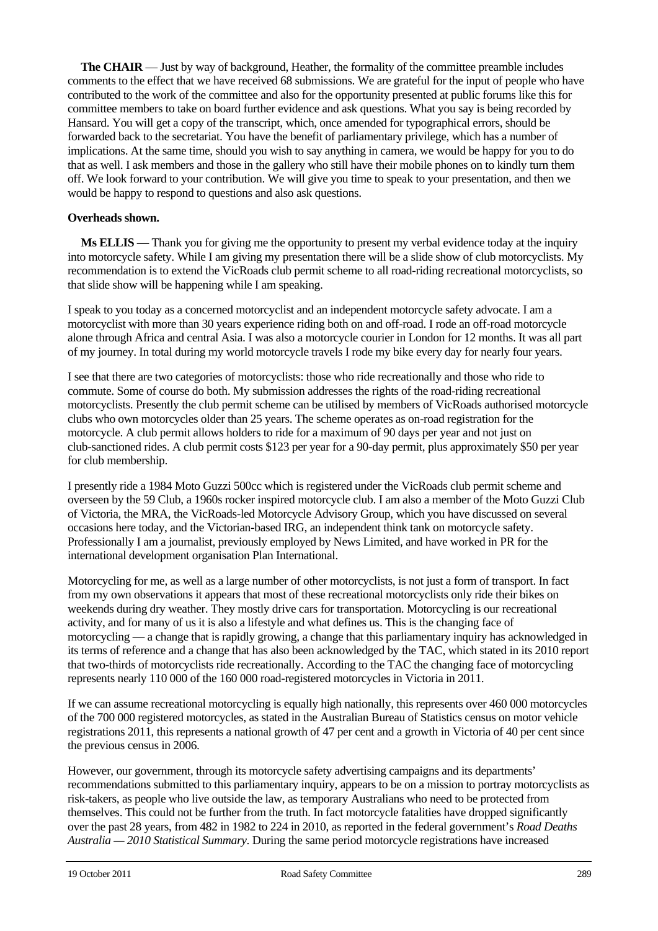**The CHAIR** — Just by way of background, Heather, the formality of the committee preamble includes comments to the effect that we have received 68 submissions. We are grateful for the input of people who have contributed to the work of the committee and also for the opportunity presented at public forums like this for committee members to take on board further evidence and ask questions. What you say is being recorded by Hansard. You will get a copy of the transcript, which, once amended for typographical errors, should be forwarded back to the secretariat. You have the benefit of parliamentary privilege, which has a number of implications. At the same time, should you wish to say anything in camera, we would be happy for you to do that as well. I ask members and those in the gallery who still have their mobile phones on to kindly turn them off. We look forward to your contribution. We will give you time to speak to your presentation, and then we would be happy to respond to questions and also ask questions.

### **Overheads shown.**

**Ms ELLIS** — Thank you for giving me the opportunity to present my verbal evidence today at the inquiry into motorcycle safety. While I am giving my presentation there will be a slide show of club motorcyclists. My recommendation is to extend the VicRoads club permit scheme to all road-riding recreational motorcyclists, so that slide show will be happening while I am speaking.

I speak to you today as a concerned motorcyclist and an independent motorcycle safety advocate. I am a motorcyclist with more than 30 years experience riding both on and off-road. I rode an off-road motorcycle alone through Africa and central Asia. I was also a motorcycle courier in London for 12 months. It was all part of my journey. In total during my world motorcycle travels I rode my bike every day for nearly four years.

I see that there are two categories of motorcyclists: those who ride recreationally and those who ride to commute. Some of course do both. My submission addresses the rights of the road-riding recreational motorcyclists. Presently the club permit scheme can be utilised by members of VicRoads authorised motorcycle clubs who own motorcycles older than 25 years. The scheme operates as on-road registration for the motorcycle. A club permit allows holders to ride for a maximum of 90 days per year and not just on club-sanctioned rides. A club permit costs \$123 per year for a 90-day permit, plus approximately \$50 per year for club membership.

I presently ride a 1984 Moto Guzzi 500cc which is registered under the VicRoads club permit scheme and overseen by the 59 Club, a 1960s rocker inspired motorcycle club. I am also a member of the Moto Guzzi Club of Victoria, the MRA, the VicRoads-led Motorcycle Advisory Group, which you have discussed on several occasions here today, and the Victorian-based IRG, an independent think tank on motorcycle safety. Professionally I am a journalist, previously employed by News Limited, and have worked in PR for the international development organisation Plan International.

Motorcycling for me, as well as a large number of other motorcyclists, is not just a form of transport. In fact from my own observations it appears that most of these recreational motorcyclists only ride their bikes on weekends during dry weather. They mostly drive cars for transportation. Motorcycling is our recreational activity, and for many of us it is also a lifestyle and what defines us. This is the changing face of motorcycling — a change that is rapidly growing, a change that this parliamentary inquiry has acknowledged in its terms of reference and a change that has also been acknowledged by the TAC, which stated in its 2010 report that two-thirds of motorcyclists ride recreationally. According to the TAC the changing face of motorcycling represents nearly 110 000 of the 160 000 road-registered motorcycles in Victoria in 2011.

If we can assume recreational motorcycling is equally high nationally, this represents over 460 000 motorcycles of the 700 000 registered motorcycles, as stated in the Australian Bureau of Statistics census on motor vehicle registrations 2011, this represents a national growth of 47 per cent and a growth in Victoria of 40 per cent since the previous census in 2006.

However, our government, through its motorcycle safety advertising campaigns and its departments' recommendations submitted to this parliamentary inquiry, appears to be on a mission to portray motorcyclists as risk-takers, as people who live outside the law, as temporary Australians who need to be protected from themselves. This could not be further from the truth. In fact motorcycle fatalities have dropped significantly over the past 28 years, from 482 in 1982 to 224 in 2010, as reported in the federal government's *Road Deaths Australia — 2010 Statistical Summary*. During the same period motorcycle registrations have increased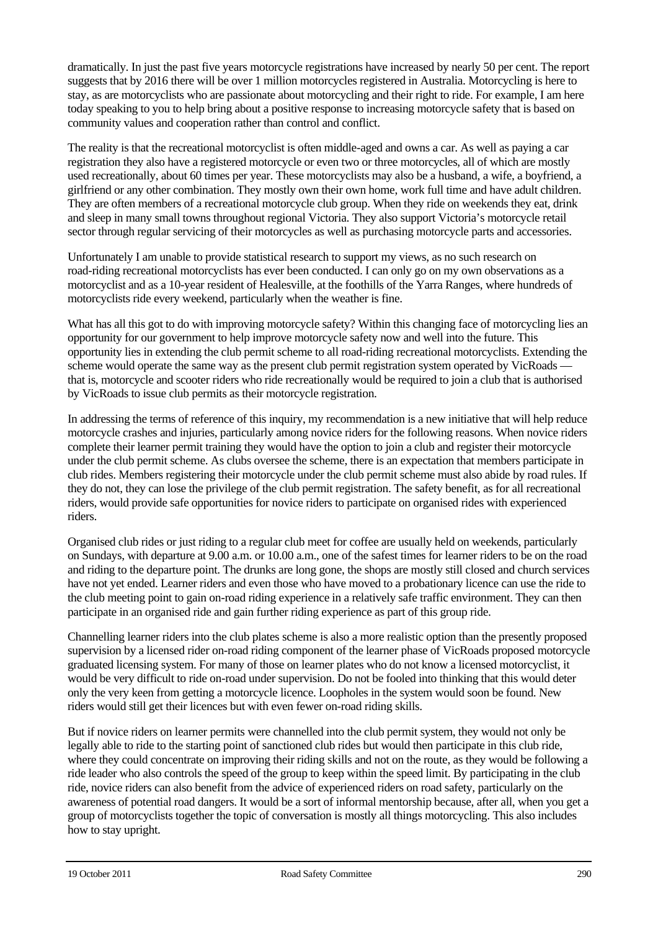dramatically. In just the past five years motorcycle registrations have increased by nearly 50 per cent. The report suggests that by 2016 there will be over 1 million motorcycles registered in Australia. Motorcycling is here to stay, as are motorcyclists who are passionate about motorcycling and their right to ride. For example, I am here today speaking to you to help bring about a positive response to increasing motorcycle safety that is based on community values and cooperation rather than control and conflict.

The reality is that the recreational motorcyclist is often middle-aged and owns a car. As well as paying a car registration they also have a registered motorcycle or even two or three motorcycles, all of which are mostly used recreationally, about 60 times per year. These motorcyclists may also be a husband, a wife, a boyfriend, a girlfriend or any other combination. They mostly own their own home, work full time and have adult children. They are often members of a recreational motorcycle club group. When they ride on weekends they eat, drink and sleep in many small towns throughout regional Victoria. They also support Victoria's motorcycle retail sector through regular servicing of their motorcycles as well as purchasing motorcycle parts and accessories.

Unfortunately I am unable to provide statistical research to support my views, as no such research on road-riding recreational motorcyclists has ever been conducted. I can only go on my own observations as a motorcyclist and as a 10-year resident of Healesville, at the foothills of the Yarra Ranges, where hundreds of motorcyclists ride every weekend, particularly when the weather is fine.

What has all this got to do with improving motorcycle safety? Within this changing face of motorcycling lies an opportunity for our government to help improve motorcycle safety now and well into the future. This opportunity lies in extending the club permit scheme to all road-riding recreational motorcyclists. Extending the scheme would operate the same way as the present club permit registration system operated by VicRoads that is, motorcycle and scooter riders who ride recreationally would be required to join a club that is authorised by VicRoads to issue club permits as their motorcycle registration.

In addressing the terms of reference of this inquiry, my recommendation is a new initiative that will help reduce motorcycle crashes and injuries, particularly among novice riders for the following reasons. When novice riders complete their learner permit training they would have the option to join a club and register their motorcycle under the club permit scheme. As clubs oversee the scheme, there is an expectation that members participate in club rides. Members registering their motorcycle under the club permit scheme must also abide by road rules. If they do not, they can lose the privilege of the club permit registration. The safety benefit, as for all recreational riders, would provide safe opportunities for novice riders to participate on organised rides with experienced riders.

Organised club rides or just riding to a regular club meet for coffee are usually held on weekends, particularly on Sundays, with departure at 9.00 a.m. or 10.00 a.m., one of the safest times for learner riders to be on the road and riding to the departure point. The drunks are long gone, the shops are mostly still closed and church services have not yet ended. Learner riders and even those who have moved to a probationary licence can use the ride to the club meeting point to gain on-road riding experience in a relatively safe traffic environment. They can then participate in an organised ride and gain further riding experience as part of this group ride.

Channelling learner riders into the club plates scheme is also a more realistic option than the presently proposed supervision by a licensed rider on-road riding component of the learner phase of VicRoads proposed motorcycle graduated licensing system. For many of those on learner plates who do not know a licensed motorcyclist, it would be very difficult to ride on-road under supervision. Do not be fooled into thinking that this would deter only the very keen from getting a motorcycle licence. Loopholes in the system would soon be found. New riders would still get their licences but with even fewer on-road riding skills.

But if novice riders on learner permits were channelled into the club permit system, they would not only be legally able to ride to the starting point of sanctioned club rides but would then participate in this club ride, where they could concentrate on improving their riding skills and not on the route, as they would be following a ride leader who also controls the speed of the group to keep within the speed limit. By participating in the club ride, novice riders can also benefit from the advice of experienced riders on road safety, particularly on the awareness of potential road dangers. It would be a sort of informal mentorship because, after all, when you get a group of motorcyclists together the topic of conversation is mostly all things motorcycling. This also includes how to stay upright.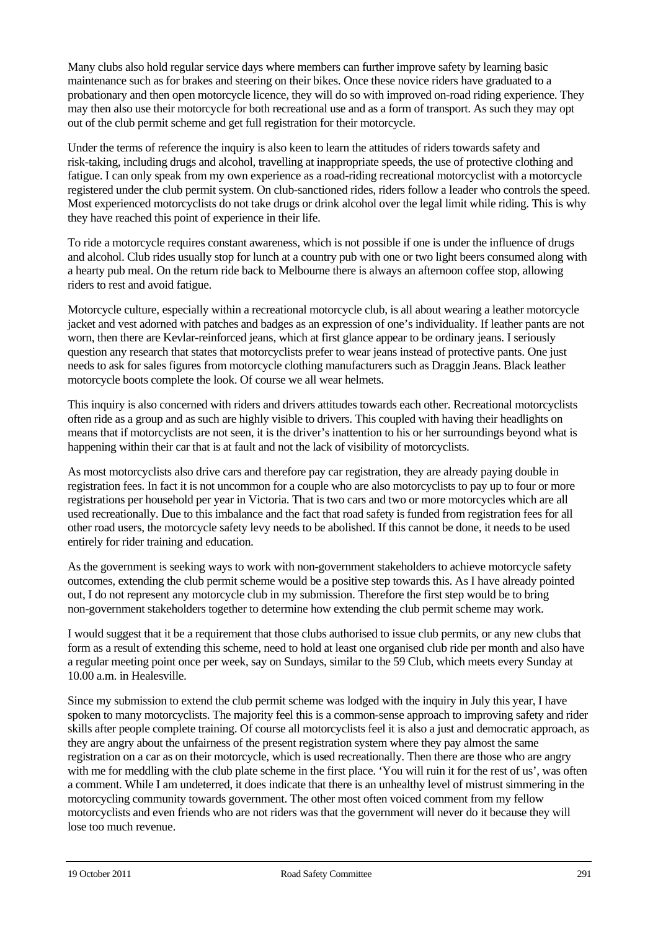Many clubs also hold regular service days where members can further improve safety by learning basic maintenance such as for brakes and steering on their bikes. Once these novice riders have graduated to a probationary and then open motorcycle licence, they will do so with improved on-road riding experience. They may then also use their motorcycle for both recreational use and as a form of transport. As such they may opt out of the club permit scheme and get full registration for their motorcycle.

Under the terms of reference the inquiry is also keen to learn the attitudes of riders towards safety and risk-taking, including drugs and alcohol, travelling at inappropriate speeds, the use of protective clothing and fatigue. I can only speak from my own experience as a road-riding recreational motorcyclist with a motorcycle registered under the club permit system. On club-sanctioned rides, riders follow a leader who controls the speed. Most experienced motorcyclists do not take drugs or drink alcohol over the legal limit while riding. This is why they have reached this point of experience in their life.

To ride a motorcycle requires constant awareness, which is not possible if one is under the influence of drugs and alcohol. Club rides usually stop for lunch at a country pub with one or two light beers consumed along with a hearty pub meal. On the return ride back to Melbourne there is always an afternoon coffee stop, allowing riders to rest and avoid fatigue.

Motorcycle culture, especially within a recreational motorcycle club, is all about wearing a leather motorcycle jacket and vest adorned with patches and badges as an expression of one's individuality. If leather pants are not worn, then there are Kevlar-reinforced jeans, which at first glance appear to be ordinary jeans. I seriously question any research that states that motorcyclists prefer to wear jeans instead of protective pants. One just needs to ask for sales figures from motorcycle clothing manufacturers such as Draggin Jeans. Black leather motorcycle boots complete the look. Of course we all wear helmets.

This inquiry is also concerned with riders and drivers attitudes towards each other. Recreational motorcyclists often ride as a group and as such are highly visible to drivers. This coupled with having their headlights on means that if motorcyclists are not seen, it is the driver's inattention to his or her surroundings beyond what is happening within their car that is at fault and not the lack of visibility of motorcyclists.

As most motorcyclists also drive cars and therefore pay car registration, they are already paying double in registration fees. In fact it is not uncommon for a couple who are also motorcyclists to pay up to four or more registrations per household per year in Victoria. That is two cars and two or more motorcycles which are all used recreationally. Due to this imbalance and the fact that road safety is funded from registration fees for all other road users, the motorcycle safety levy needs to be abolished. If this cannot be done, it needs to be used entirely for rider training and education.

As the government is seeking ways to work with non-government stakeholders to achieve motorcycle safety outcomes, extending the club permit scheme would be a positive step towards this. As I have already pointed out, I do not represent any motorcycle club in my submission. Therefore the first step would be to bring non-government stakeholders together to determine how extending the club permit scheme may work.

I would suggest that it be a requirement that those clubs authorised to issue club permits, or any new clubs that form as a result of extending this scheme, need to hold at least one organised club ride per month and also have a regular meeting point once per week, say on Sundays, similar to the 59 Club, which meets every Sunday at 10.00 a.m. in Healesville.

Since my submission to extend the club permit scheme was lodged with the inquiry in July this year, I have spoken to many motorcyclists. The majority feel this is a common-sense approach to improving safety and rider skills after people complete training. Of course all motorcyclists feel it is also a just and democratic approach, as they are angry about the unfairness of the present registration system where they pay almost the same registration on a car as on their motorcycle, which is used recreationally. Then there are those who are angry with me for meddling with the club plate scheme in the first place. 'You will ruin it for the rest of us', was often a comment. While I am undeterred, it does indicate that there is an unhealthy level of mistrust simmering in the motorcycling community towards government. The other most often voiced comment from my fellow motorcyclists and even friends who are not riders was that the government will never do it because they will lose too much revenue.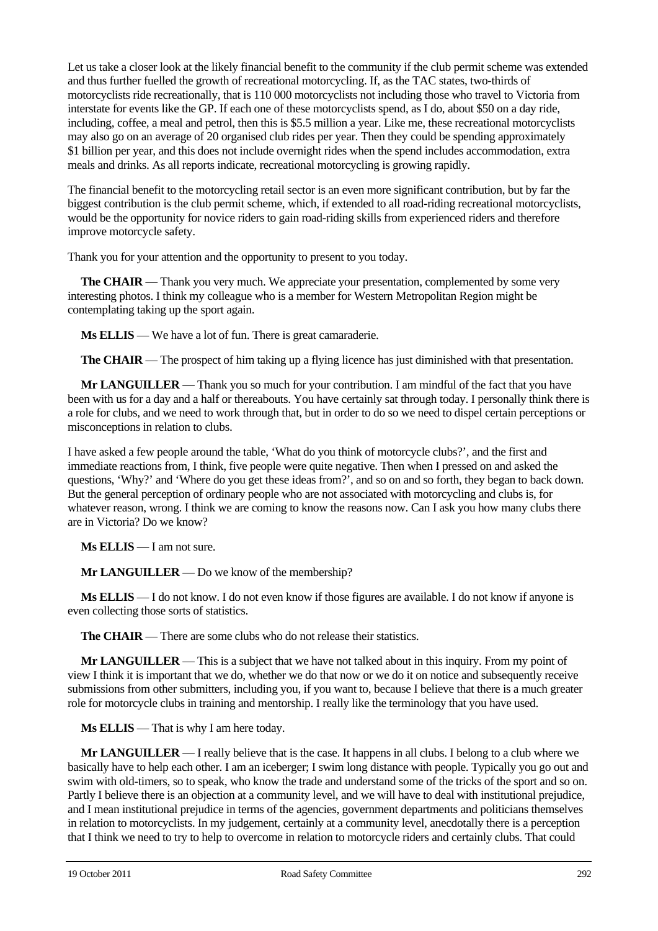Let us take a closer look at the likely financial benefit to the community if the club permit scheme was extended and thus further fuelled the growth of recreational motorcycling. If, as the TAC states, two-thirds of motorcyclists ride recreationally, that is 110 000 motorcyclists not including those who travel to Victoria from interstate for events like the GP. If each one of these motorcyclists spend, as I do, about \$50 on a day ride, including, coffee, a meal and petrol, then this is \$5.5 million a year. Like me, these recreational motorcyclists may also go on an average of 20 organised club rides per year. Then they could be spending approximately \$1 billion per year, and this does not include overnight rides when the spend includes accommodation, extra meals and drinks. As all reports indicate, recreational motorcycling is growing rapidly.

The financial benefit to the motorcycling retail sector is an even more significant contribution, but by far the biggest contribution is the club permit scheme, which, if extended to all road-riding recreational motorcyclists, would be the opportunity for novice riders to gain road-riding skills from experienced riders and therefore improve motorcycle safety.

Thank you for your attention and the opportunity to present to you today.

**The CHAIR** — Thank you very much. We appreciate your presentation, complemented by some very interesting photos. I think my colleague who is a member for Western Metropolitan Region might be contemplating taking up the sport again.

**Ms ELLIS** — We have a lot of fun. There is great camaraderie.

**The CHAIR** — The prospect of him taking up a flying licence has just diminished with that presentation.

**Mr LANGUILLER** — Thank you so much for your contribution. I am mindful of the fact that you have been with us for a day and a half or thereabouts. You have certainly sat through today. I personally think there is a role for clubs, and we need to work through that, but in order to do so we need to dispel certain perceptions or misconceptions in relation to clubs.

I have asked a few people around the table, 'What do you think of motorcycle clubs?', and the first and immediate reactions from, I think, five people were quite negative. Then when I pressed on and asked the questions, 'Why?' and 'Where do you get these ideas from?', and so on and so forth, they began to back down. But the general perception of ordinary people who are not associated with motorcycling and clubs is, for whatever reason, wrong. I think we are coming to know the reasons now. Can I ask you how many clubs there are in Victoria? Do we know?

**Ms ELLIS** — I am not sure.

**Mr LANGUILLER** — Do we know of the membership?

**Ms ELLIS** — I do not know. I do not even know if those figures are available. I do not know if anyone is even collecting those sorts of statistics.

**The CHAIR** — There are some clubs who do not release their statistics.

**Mr LANGUILLER** — This is a subject that we have not talked about in this inquiry. From my point of view I think it is important that we do, whether we do that now or we do it on notice and subsequently receive submissions from other submitters, including you, if you want to, because I believe that there is a much greater role for motorcycle clubs in training and mentorship. I really like the terminology that you have used.

**Ms ELLIS** — That is why I am here today.

**Mr LANGUILLER** — I really believe that is the case. It happens in all clubs. I belong to a club where we basically have to help each other. I am an iceberger; I swim long distance with people. Typically you go out and swim with old-timers, so to speak, who know the trade and understand some of the tricks of the sport and so on. Partly I believe there is an objection at a community level, and we will have to deal with institutional prejudice, and I mean institutional prejudice in terms of the agencies, government departments and politicians themselves in relation to motorcyclists. In my judgement, certainly at a community level, anecdotally there is a perception that I think we need to try to help to overcome in relation to motorcycle riders and certainly clubs. That could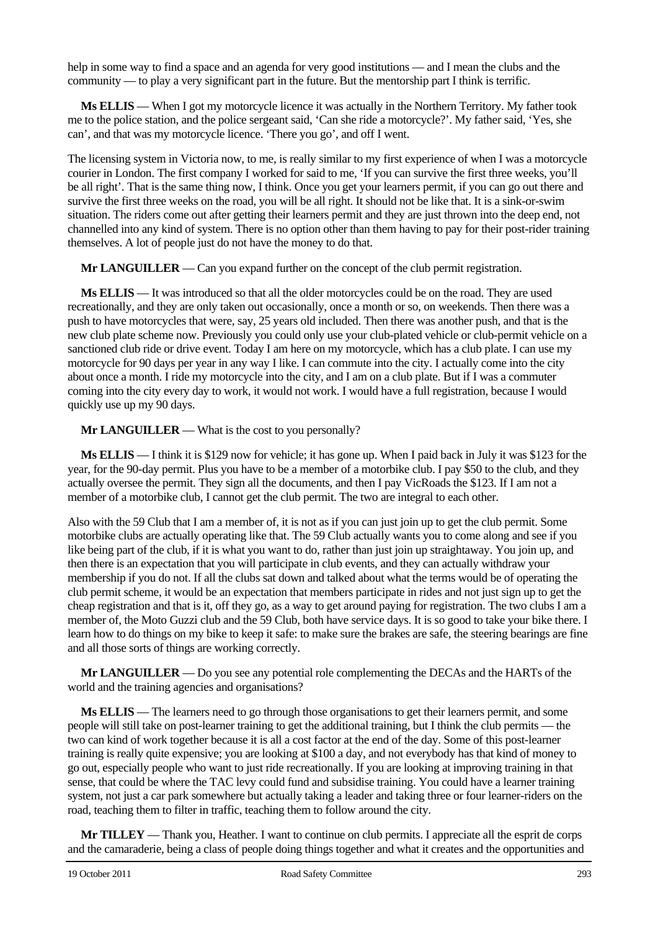help in some way to find a space and an agenda for very good institutions — and I mean the clubs and the community — to play a very significant part in the future. But the mentorship part I think is terrific.

**Ms ELLIS** — When I got my motorcycle licence it was actually in the Northern Territory. My father took me to the police station, and the police sergeant said, 'Can she ride a motorcycle?'. My father said, 'Yes, she can', and that was my motorcycle licence. 'There you go', and off I went.

The licensing system in Victoria now, to me, is really similar to my first experience of when I was a motorcycle courier in London. The first company I worked for said to me, 'If you can survive the first three weeks, you'll be all right'. That is the same thing now, I think. Once you get your learners permit, if you can go out there and survive the first three weeks on the road, you will be all right. It should not be like that. It is a sink-or-swim situation. The riders come out after getting their learners permit and they are just thrown into the deep end, not channelled into any kind of system. There is no option other than them having to pay for their post-rider training themselves. A lot of people just do not have the money to do that.

**Mr LANGUILLER** — Can you expand further on the concept of the club permit registration.

**Ms ELLIS** — It was introduced so that all the older motorcycles could be on the road. They are used recreationally, and they are only taken out occasionally, once a month or so, on weekends. Then there was a push to have motorcycles that were, say, 25 years old included. Then there was another push, and that is the new club plate scheme now. Previously you could only use your club-plated vehicle or club-permit vehicle on a sanctioned club ride or drive event. Today I am here on my motorcycle, which has a club plate. I can use my motorcycle for 90 days per year in any way I like. I can commute into the city. I actually come into the city about once a month. I ride my motorcycle into the city, and I am on a club plate. But if I was a commuter coming into the city every day to work, it would not work. I would have a full registration, because I would quickly use up my 90 days.

**Mr LANGUILLER** — What is the cost to you personally?

**Ms ELLIS** — I think it is \$129 now for vehicle; it has gone up. When I paid back in July it was \$123 for the year, for the 90-day permit. Plus you have to be a member of a motorbike club. I pay \$50 to the club, and they actually oversee the permit. They sign all the documents, and then I pay VicRoads the \$123. If I am not a member of a motorbike club, I cannot get the club permit. The two are integral to each other.

Also with the 59 Club that I am a member of, it is not as if you can just join up to get the club permit. Some motorbike clubs are actually operating like that. The 59 Club actually wants you to come along and see if you like being part of the club, if it is what you want to do, rather than just join up straightaway. You join up, and then there is an expectation that you will participate in club events, and they can actually withdraw your membership if you do not. If all the clubs sat down and talked about what the terms would be of operating the club permit scheme, it would be an expectation that members participate in rides and not just sign up to get the cheap registration and that is it, off they go, as a way to get around paying for registration. The two clubs I am a member of, the Moto Guzzi club and the 59 Club, both have service days. It is so good to take your bike there. I learn how to do things on my bike to keep it safe: to make sure the brakes are safe, the steering bearings are fine and all those sorts of things are working correctly.

**Mr LANGUILLER** — Do you see any potential role complementing the DECAs and the HARTs of the world and the training agencies and organisations?

**Ms ELLIS** — The learners need to go through those organisations to get their learners permit, and some people will still take on post-learner training to get the additional training, but I think the club permits — the two can kind of work together because it is all a cost factor at the end of the day. Some of this post-learner training is really quite expensive; you are looking at \$100 a day, and not everybody has that kind of money to go out, especially people who want to just ride recreationally. If you are looking at improving training in that sense, that could be where the TAC levy could fund and subsidise training. You could have a learner training system, not just a car park somewhere but actually taking a leader and taking three or four learner-riders on the road, teaching them to filter in traffic, teaching them to follow around the city.

**Mr TILLEY** — Thank you, Heather. I want to continue on club permits. I appreciate all the esprit de corps and the camaraderie, being a class of people doing things together and what it creates and the opportunities and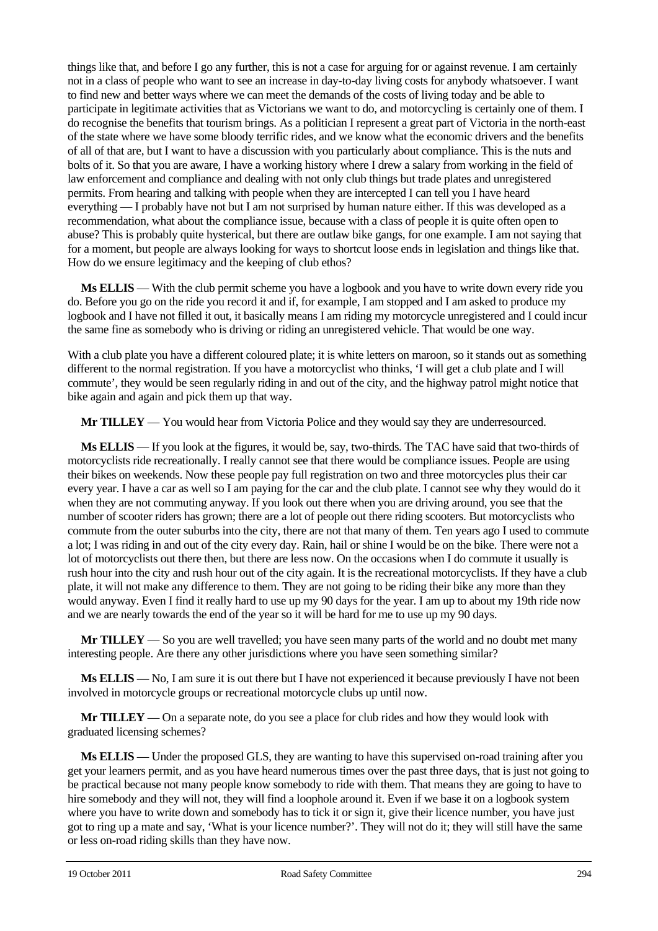things like that, and before I go any further, this is not a case for arguing for or against revenue. I am certainly not in a class of people who want to see an increase in day-to-day living costs for anybody whatsoever. I want to find new and better ways where we can meet the demands of the costs of living today and be able to participate in legitimate activities that as Victorians we want to do, and motorcycling is certainly one of them. I do recognise the benefits that tourism brings. As a politician I represent a great part of Victoria in the north-east of the state where we have some bloody terrific rides, and we know what the economic drivers and the benefits of all of that are, but I want to have a discussion with you particularly about compliance. This is the nuts and bolts of it. So that you are aware, I have a working history where I drew a salary from working in the field of law enforcement and compliance and dealing with not only club things but trade plates and unregistered permits. From hearing and talking with people when they are intercepted I can tell you I have heard everything — I probably have not but I am not surprised by human nature either. If this was developed as a recommendation, what about the compliance issue, because with a class of people it is quite often open to abuse? This is probably quite hysterical, but there are outlaw bike gangs, for one example. I am not saying that for a moment, but people are always looking for ways to shortcut loose ends in legislation and things like that. How do we ensure legitimacy and the keeping of club ethos?

**Ms ELLIS** — With the club permit scheme you have a logbook and you have to write down every ride you do. Before you go on the ride you record it and if, for example, I am stopped and I am asked to produce my logbook and I have not filled it out, it basically means I am riding my motorcycle unregistered and I could incur the same fine as somebody who is driving or riding an unregistered vehicle. That would be one way.

With a club plate you have a different coloured plate; it is white letters on maroon, so it stands out as something different to the normal registration. If you have a motorcyclist who thinks, 'I will get a club plate and I will commute', they would be seen regularly riding in and out of the city, and the highway patrol might notice that bike again and again and pick them up that way.

**Mr TILLEY** — You would hear from Victoria Police and they would say they are underresourced.

**Ms ELLIS** — If you look at the figures, it would be, say, two-thirds. The TAC have said that two-thirds of motorcyclists ride recreationally. I really cannot see that there would be compliance issues. People are using their bikes on weekends. Now these people pay full registration on two and three motorcycles plus their car every year. I have a car as well so I am paying for the car and the club plate. I cannot see why they would do it when they are not commuting anyway. If you look out there when you are driving around, you see that the number of scooter riders has grown; there are a lot of people out there riding scooters. But motorcyclists who commute from the outer suburbs into the city, there are not that many of them. Ten years ago I used to commute a lot; I was riding in and out of the city every day. Rain, hail or shine I would be on the bike. There were not a lot of motorcyclists out there then, but there are less now. On the occasions when I do commute it usually is rush hour into the city and rush hour out of the city again. It is the recreational motorcyclists. If they have a club plate, it will not make any difference to them. They are not going to be riding their bike any more than they would anyway. Even I find it really hard to use up my 90 days for the year. I am up to about my 19th ride now and we are nearly towards the end of the year so it will be hard for me to use up my 90 days.

**Mr TILLEY** — So you are well travelled; you have seen many parts of the world and no doubt met many interesting people. Are there any other jurisdictions where you have seen something similar?

**Ms ELLIS** — No, I am sure it is out there but I have not experienced it because previously I have not been involved in motorcycle groups or recreational motorcycle clubs up until now.

**Mr TILLEY** — On a separate note, do you see a place for club rides and how they would look with graduated licensing schemes?

**Ms ELLIS** — Under the proposed GLS, they are wanting to have this supervised on-road training after you get your learners permit, and as you have heard numerous times over the past three days, that is just not going to be practical because not many people know somebody to ride with them. That means they are going to have to hire somebody and they will not, they will find a loophole around it. Even if we base it on a logbook system where you have to write down and somebody has to tick it or sign it, give their licence number, you have just got to ring up a mate and say, 'What is your licence number?'. They will not do it; they will still have the same or less on-road riding skills than they have now.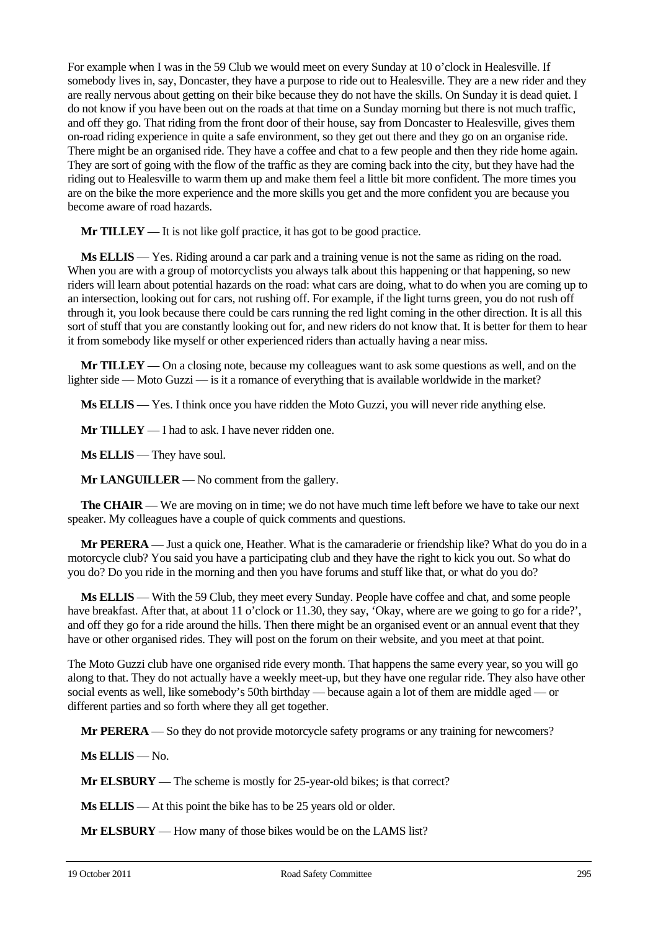For example when I was in the 59 Club we would meet on every Sunday at 10 o'clock in Healesville. If somebody lives in, say, Doncaster, they have a purpose to ride out to Healesville. They are a new rider and they are really nervous about getting on their bike because they do not have the skills. On Sunday it is dead quiet. I do not know if you have been out on the roads at that time on a Sunday morning but there is not much traffic, and off they go. That riding from the front door of their house, say from Doncaster to Healesville, gives them on-road riding experience in quite a safe environment, so they get out there and they go on an organise ride. There might be an organised ride. They have a coffee and chat to a few people and then they ride home again. They are sort of going with the flow of the traffic as they are coming back into the city, but they have had the riding out to Healesville to warm them up and make them feel a little bit more confident. The more times you are on the bike the more experience and the more skills you get and the more confident you are because you become aware of road hazards.

**Mr TILLEY** — It is not like golf practice, it has got to be good practice.

**Ms ELLIS** — Yes. Riding around a car park and a training venue is not the same as riding on the road. When you are with a group of motorcyclists you always talk about this happening or that happening, so new riders will learn about potential hazards on the road: what cars are doing, what to do when you are coming up to an intersection, looking out for cars, not rushing off. For example, if the light turns green, you do not rush off through it, you look because there could be cars running the red light coming in the other direction. It is all this sort of stuff that you are constantly looking out for, and new riders do not know that. It is better for them to hear it from somebody like myself or other experienced riders than actually having a near miss.

**Mr TILLEY** — On a closing note, because my colleagues want to ask some questions as well, and on the lighter side — Moto Guzzi — is it a romance of everything that is available worldwide in the market?

**Ms ELLIS** — Yes. I think once you have ridden the Moto Guzzi, you will never ride anything else.

**Mr TILLEY** — I had to ask. I have never ridden one.

**Ms ELLIS** — They have soul.

**Mr LANGUILLER** — No comment from the gallery.

**The CHAIR** — We are moving on in time; we do not have much time left before we have to take our next speaker. My colleagues have a couple of quick comments and questions.

**Mr PERERA** — Just a quick one, Heather. What is the camaraderie or friendship like? What do you do in a motorcycle club? You said you have a participating club and they have the right to kick you out. So what do you do? Do you ride in the morning and then you have forums and stuff like that, or what do you do?

**Ms ELLIS** — With the 59 Club, they meet every Sunday. People have coffee and chat, and some people have breakfast. After that, at about 11 o'clock or 11.30, they say, 'Okay, where are we going to go for a ride?', and off they go for a ride around the hills. Then there might be an organised event or an annual event that they have or other organised rides. They will post on the forum on their website, and you meet at that point.

The Moto Guzzi club have one organised ride every month. That happens the same every year, so you will go along to that. They do not actually have a weekly meet-up, but they have one regular ride. They also have other social events as well, like somebody's 50th birthday — because again a lot of them are middle aged — or different parties and so forth where they all get together.

**Mr PERERA** — So they do not provide motorcycle safety programs or any training for newcomers?

**Ms ELLIS** — No.

**Mr ELSBURY** — The scheme is mostly for 25-year-old bikes; is that correct?

**Ms ELLIS** — At this point the bike has to be 25 years old or older.

**Mr ELSBURY** — How many of those bikes would be on the LAMS list?